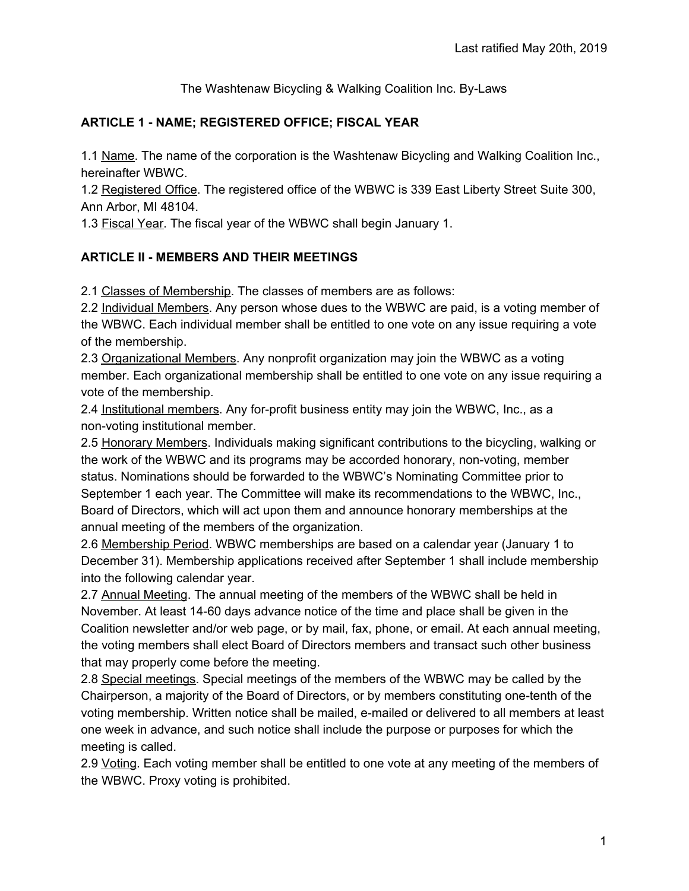The Washtenaw Bicycling & Walking Coalition Inc. By-Laws

### **ARTICLE 1 - NAME; REGISTERED OFFICE; FISCAL YEAR**

1.1 Name. The name of the corporation is the Washtenaw Bicycling and Walking Coalition Inc., hereinafter WBWC.

1.2 Registered Office. The registered office of the WBWC is 339 East Liberty Street Suite 300, Ann Arbor, MI 48104.

1.3 Fiscal Year. The fiscal year of the WBWC shall begin January 1.

### **ARTICLE II - MEMBERS AND THEIR MEETINGS**

2.1 Classes of Membership. The classes of members are as follows:

2.2 Individual Members. Any person whose dues to the WBWC are paid, is a voting member of the WBWC. Each individual member shall be entitled to one vote on any issue requiring a vote of the membership.

2.3 Organizational Members. Any nonprofit organization may join the WBWC as a voting member. Each organizational membership shall be entitled to one vote on any issue requiring a vote of the membership.

2.4 Institutional members. Any for-profit business entity may join the WBWC, Inc., as a non-voting institutional member.

2.5 Honorary Members. Individuals making significant contributions to the bicycling, walking or the work of the WBWC and its programs may be accorded honorary, non-voting, member status. Nominations should be forwarded to the WBWC's Nominating Committee prior to September 1 each year. The Committee will make its recommendations to the WBWC, Inc., Board of Directors, which will act upon them and announce honorary memberships at the annual meeting of the members of the organization.

2.6 Membership Period. WBWC memberships are based on a calendar year (January 1 to December 31). Membership applications received after September 1 shall include membership into the following calendar year.

2.7 Annual Meeting. The annual meeting of the members of the WBWC shall be held in November. At least 14-60 days advance notice of the time and place shall be given in the Coalition newsletter and/or web page, or by mail, fax, phone, or email. At each annual meeting, the voting members shall elect Board of Directors members and transact such other business that may properly come before the meeting.

2.8 Special meetings. Special meetings of the members of the WBWC may be called by the Chairperson, a majority of the Board of Directors, or by members constituting one-tenth of the voting membership. Written notice shall be mailed, e-mailed or delivered to all members at least one week in advance, and such notice shall include the purpose or purposes for which the meeting is called.

2.9 Voting. Each voting member shall be entitled to one vote at any meeting of the members of the WBWC. Proxy voting is prohibited.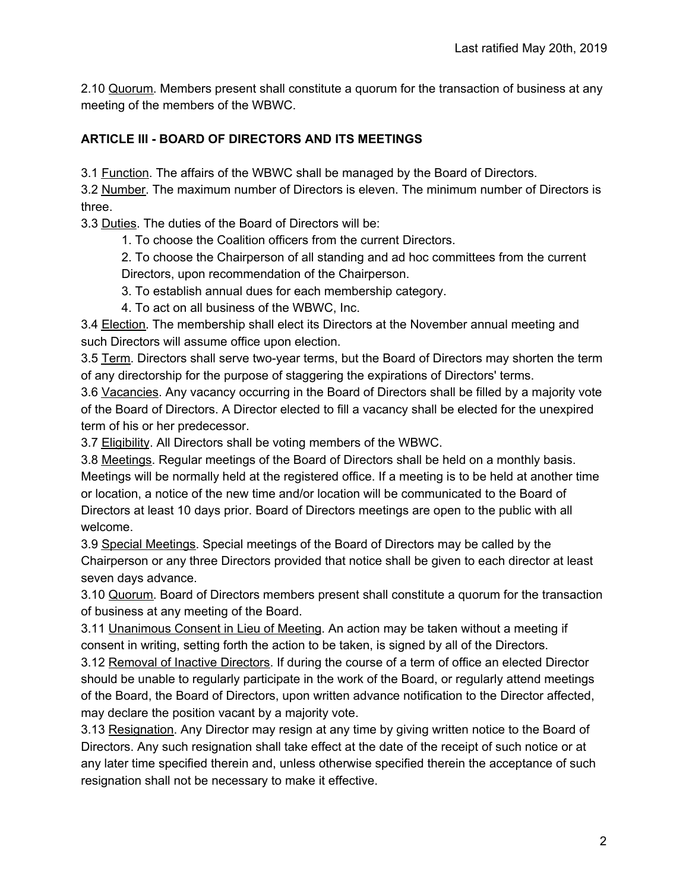2.10 Quorum. Members present shall constitute a quorum for the transaction of business at any meeting of the members of the WBWC.

### **ARTICLE III - BOARD OF DIRECTORS AND ITS MEETINGS**

3.1 Function. The affairs of the WBWC shall be managed by the Board of Directors.

3.2 Number. The maximum number of Directors is eleven. The minimum number of Directors is three.

3.3 Duties. The duties of the Board of Directors will be:

1. To choose the Coalition officers from the current Directors.

2. To choose the Chairperson of all standing and ad hoc committees from the current Directors, upon recommendation of the Chairperson.

3. To establish annual dues for each membership category.

4. To act on all business of the WBWC, Inc.

3.4 Election. The membership shall elect its Directors at the November annual meeting and such Directors will assume office upon election.

3.5 Term. Directors shall serve two-year terms, but the Board of Directors may shorten the term of any directorship for the purpose of staggering the expirations of Directors' terms.

3.6 Vacancies. Any vacancy occurring in the Board of Directors shall be filled by a majority vote of the Board of Directors. A Director elected to fill a vacancy shall be elected for the unexpired term of his or her predecessor.

3.7 Eligibility. All Directors shall be voting members of the WBWC.

3.8 Meetings. Regular meetings of the Board of Directors shall be held on a monthly basis. Meetings will be normally held at the registered office. If a meeting is to be held at another time or location, a notice of the new time and/or location will be communicated to the Board of Directors at least 10 days prior. Board of Directors meetings are open to the public with all welcome.

3.9 Special Meetings. Special meetings of the Board of Directors may be called by the Chairperson or any three Directors provided that notice shall be given to each director at least seven days advance.

3.10 Quorum. Board of Directors members present shall constitute a quorum for the transaction of business at any meeting of the Board.

3.11 Unanimous Consent in Lieu of Meeting. An action may be taken without a meeting if consent in writing, setting forth the action to be taken, is signed by all of the Directors.

3.12 Removal of Inactive Directors. If during the course of a term of office an elected Director should be unable to regularly participate in the work of the Board, or regularly attend meetings of the Board, the Board of Directors, upon written advance notification to the Director affected, may declare the position vacant by a majority vote.

3.13 Resignation. Any Director may resign at any time by giving written notice to the Board of Directors. Any such resignation shall take effect at the date of the receipt of such notice or at any later time specified therein and, unless otherwise specified therein the acceptance of such resignation shall not be necessary to make it effective.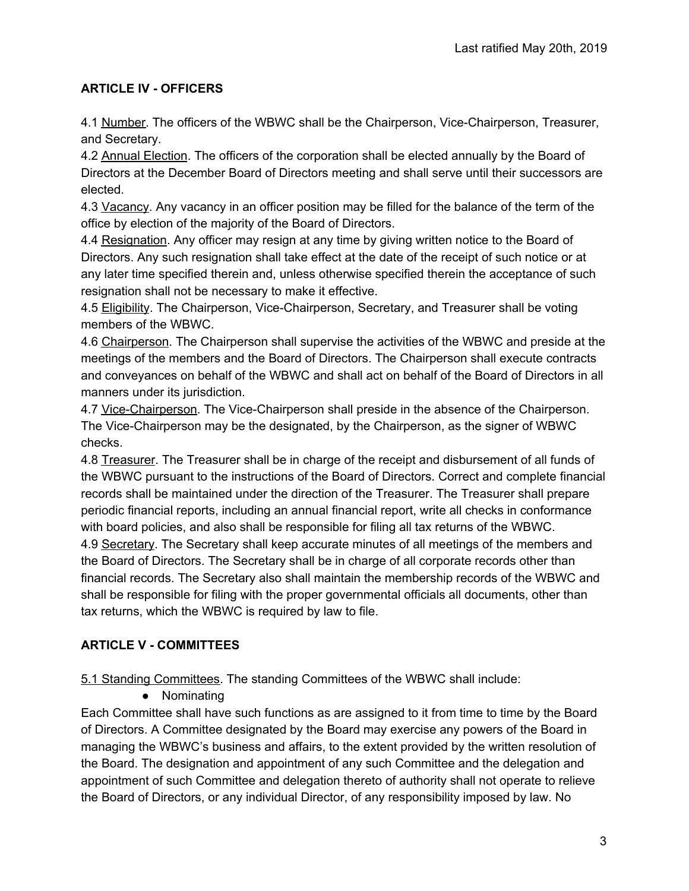# **ARTICLE IV - OFFICERS**

4.1 Number. The officers of the WBWC shall be the Chairperson, Vice-Chairperson, Treasurer, and Secretary.

4.2 Annual Election. The officers of the corporation shall be elected annually by the Board of Directors at the December Board of Directors meeting and shall serve until their successors are elected.

4.3 Vacancy. Any vacancy in an officer position may be filled for the balance of the term of the office by election of the majority of the Board of Directors.

4.4 Resignation. Any officer may resign at any time by giving written notice to the Board of Directors. Any such resignation shall take effect at the date of the receipt of such notice or at any later time specified therein and, unless otherwise specified therein the acceptance of such resignation shall not be necessary to make it effective.

4.5 Eligibility. The Chairperson, Vice-Chairperson, Secretary, and Treasurer shall be voting members of the WBWC.

4.6 Chairperson. The Chairperson shall supervise the activities of the WBWC and preside at the meetings of the members and the Board of Directors. The Chairperson shall execute contracts and conveyances on behalf of the WBWC and shall act on behalf of the Board of Directors in all manners under its jurisdiction.

4.7 Vice-Chairperson. The Vice-Chairperson shall preside in the absence of the Chairperson. The Vice-Chairperson may be the designated, by the Chairperson, as the signer of WBWC checks.

4.8 Treasurer. The Treasurer shall be in charge of the receipt and disbursement of all funds of the WBWC pursuant to the instructions of the Board of Directors. Correct and complete financial records shall be maintained under the direction of the Treasurer. The Treasurer shall prepare periodic financial reports, including an annual financial report, write all checks in conformance with board policies, and also shall be responsible for filing all tax returns of the WBWC.

4.9 Secretary. The Secretary shall keep accurate minutes of all meetings of the members and the Board of Directors. The Secretary shall be in charge of all corporate records other than financial records. The Secretary also shall maintain the membership records of the WBWC and shall be responsible for filing with the proper governmental officials all documents, other than tax returns, which the WBWC is required by law to file.

# **ARTICLE V - COMMITTEES**

5.1 Standing Committees. The standing Committees of the WBWC shall include:

● Nominating

Each Committee shall have such functions as are assigned to it from time to time by the Board of Directors. A Committee designated by the Board may exercise any powers of the Board in managing the WBWC's business and affairs, to the extent provided by the written resolution of the Board. The designation and appointment of any such Committee and the delegation and appointment of such Committee and delegation thereto of authority shall not operate to relieve the Board of Directors, or any individual Director, of any responsibility imposed by law. No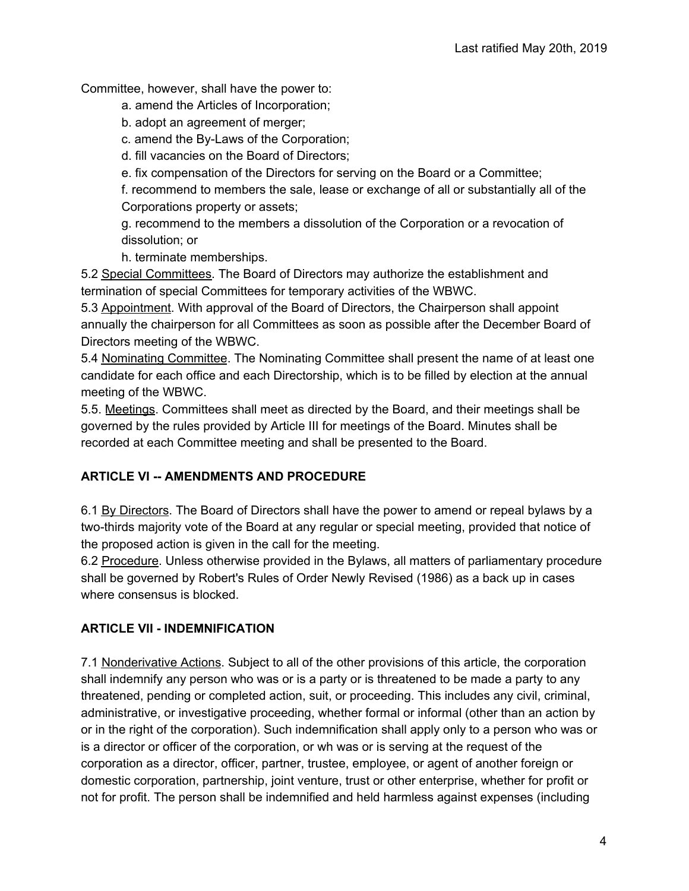Committee, however, shall have the power to:

- a. amend the Articles of Incorporation;
- b. adopt an agreement of merger;
- c. amend the By-Laws of the Corporation;
- d. fill vacancies on the Board of Directors;
- e. fix compensation of the Directors for serving on the Board or a Committee;

f. recommend to members the sale, lease or exchange of all or substantially all of the Corporations property or assets;

g. recommend to the members a dissolution of the Corporation or a revocation of dissolution; or

h. terminate memberships.

5.2 Special Committees. The Board of Directors may authorize the establishment and termination of special Committees for temporary activities of the WBWC.

5.3 Appointment. With approval of the Board of Directors, the Chairperson shall appoint annually the chairperson for all Committees as soon as possible after the December Board of Directors meeting of the WBWC.

5.4 Nominating Committee. The Nominating Committee shall present the name of at least one candidate for each office and each Directorship, which is to be filled by election at the annual meeting of the WBWC.

5.5. Meetings. Committees shall meet as directed by the Board, and their meetings shall be governed by the rules provided by Article III for meetings of the Board. Minutes shall be recorded at each Committee meeting and shall be presented to the Board.

# **ARTICLE VI -- AMENDMENTS AND PROCEDURE**

6.1 By Directors. The Board of Directors shall have the power to amend or repeal bylaws by a two-thirds majority vote of the Board at any regular or special meeting, provided that notice of the proposed action is given in the call for the meeting.

6.2 Procedure. Unless otherwise provided in the Bylaws, all matters of parliamentary procedure shall be governed by Robert's Rules of Order Newly Revised (1986) as a back up in cases where consensus is blocked.

# **ARTICLE VII - INDEMNIFICATION**

7.1 Nonderivative Actions. Subject to all of the other provisions of this article, the corporation shall indemnify any person who was or is a party or is threatened to be made a party to any threatened, pending or completed action, suit, or proceeding. This includes any civil, criminal, administrative, or investigative proceeding, whether formal or informal (other than an action by or in the right of the corporation). Such indemnification shall apply only to a person who was or is a director or officer of the corporation, or wh was or is serving at the request of the corporation as a director, officer, partner, trustee, employee, or agent of another foreign or domestic corporation, partnership, joint venture, trust or other enterprise, whether for profit or not for profit. The person shall be indemnified and held harmless against expenses (including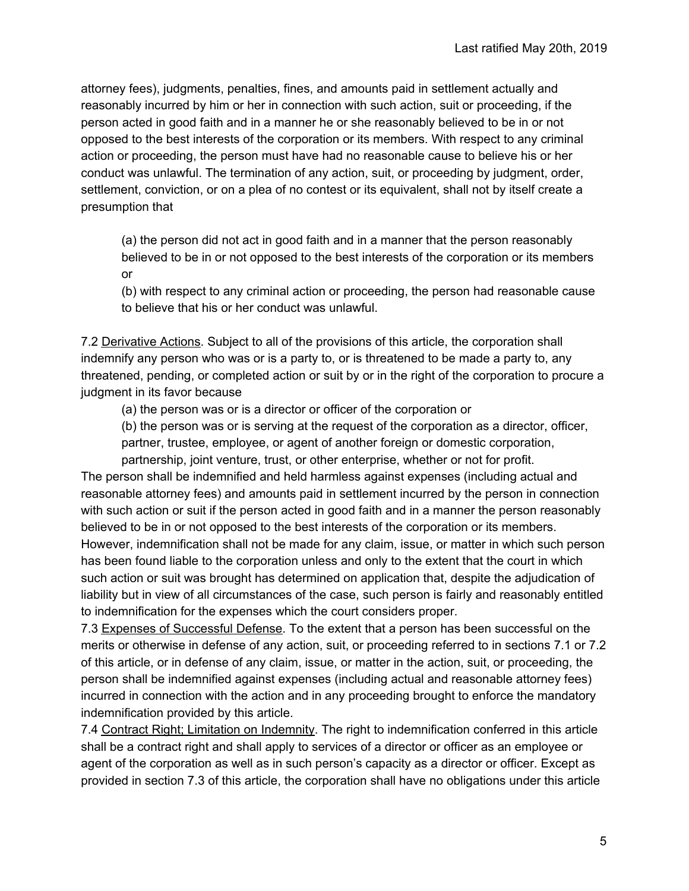attorney fees), judgments, penalties, fines, and amounts paid in settlement actually and reasonably incurred by him or her in connection with such action, suit or proceeding, if the person acted in good faith and in a manner he or she reasonably believed to be in or not opposed to the best interests of the corporation or its members. With respect to any criminal action or proceeding, the person must have had no reasonable cause to believe his or her conduct was unlawful. The termination of any action, suit, or proceeding by judgment, order, settlement, conviction, or on a plea of no contest or its equivalent, shall not by itself create a presumption that

(a) the person did not act in good faith and in a manner that the person reasonably believed to be in or not opposed to the best interests of the corporation or its members or

(b) with respect to any criminal action or proceeding, the person had reasonable cause to believe that his or her conduct was unlawful.

7.2 Derivative Actions. Subject to all of the provisions of this article, the corporation shall indemnify any person who was or is a party to, or is threatened to be made a party to, any threatened, pending, or completed action or suit by or in the right of the corporation to procure a judgment in its favor because

(a) the person was or is a director or officer of the corporation or

(b) the person was or is serving at the request of the corporation as a director, officer, partner, trustee, employee, or agent of another foreign or domestic corporation, partnership, joint venture, trust, or other enterprise, whether or not for profit.

The person shall be indemnified and held harmless against expenses (including actual and reasonable attorney fees) and amounts paid in settlement incurred by the person in connection with such action or suit if the person acted in good faith and in a manner the person reasonably believed to be in or not opposed to the best interests of the corporation or its members. However, indemnification shall not be made for any claim, issue, or matter in which such person has been found liable to the corporation unless and only to the extent that the court in which such action or suit was brought has determined on application that, despite the adjudication of liability but in view of all circumstances of the case, such person is fairly and reasonably entitled to indemnification for the expenses which the court considers proper.

7.3 Expenses of Successful Defense. To the extent that a person has been successful on the merits or otherwise in defense of any action, suit, or proceeding referred to in sections 7.1 or 7.2 of this article, or in defense of any claim, issue, or matter in the action, suit, or proceeding, the person shall be indemnified against expenses (including actual and reasonable attorney fees) incurred in connection with the action and in any proceeding brought to enforce the mandatory indemnification provided by this article.

7.4 Contract Right; Limitation on Indemnity. The right to indemnification conferred in this article shall be a contract right and shall apply to services of a director or officer as an employee or agent of the corporation as well as in such person's capacity as a director or officer. Except as provided in section 7.3 of this article, the corporation shall have no obligations under this article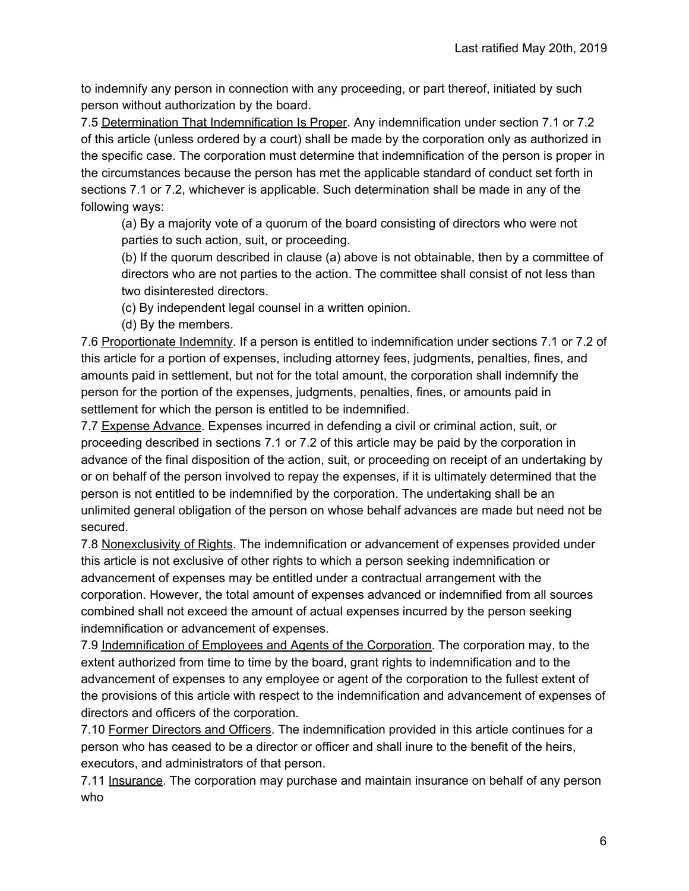to indemnify any person in connection with any proceeding, or part thereof, initiated by such person without authorization by the board.

7.5 Determination That Indemnification Is Proper. Any indemnification under section 7.1 or 7.2 of this article (unless ordered by a court) shall be made by the corporation only as authorized in the specific case. The corporation must determine that indemnification of the person is proper in the circumstances because the person has met the applicable standard of conduct set forth in sections 7.1 or 7.2, whichever is applicable. Such determination shall be made in any of the following ways:

(a) By a majority vote of a quorum of the board consisting of directors who were not parties to such action, suit, or proceeding.

(b) If the quorum described in clause (a) above is not obtainable, then by a committee of directors who are not parties to the action. The committee shall consist of not less than two disinterested directors.

(c) By independent legal counsel in a written opinion.

(d) By the members.

7.6 Proportionate Indemnity. If a person is entitled to indemnification under sections 7.1 or 7.2 of this article for a portion of expenses, including attorney fees, judgments, penalties, fines, and amounts paid in settlement, but not for the total amount, the corporation shall indemnify the person for the portion of the expenses, judgments, penalties, fines, or amounts paid in settlement for which the person is entitled to be indemnified.

7.7 Expense Advance. Expenses incurred in defending a civil or criminal action, suit, or proceeding described in sections 7.1 or 7.2 of this article may be paid by the corporation in advance of the final disposition of the action, suit, or proceeding on receipt of an undertaking by or on behalf of the person involved to repay the expenses, if it is ultimately determined that the person is not entitled to be indemnified by the corporation. The undertaking shall be an unlimited general obligation of the person on whose behalf advances are made but need not be secured.

7.8 Nonexclusivity of Rights. The indemnification or advancement of expenses provided under this article is not exclusive of other rights to which a person seeking indemnification or advancement of expenses may be entitled under a contractual arrangement with the corporation. However, the total amount of expenses advanced or indemnified from all sources combined shall not exceed the amount of actual expenses incurred by the person seeking indemnification or advancement of expenses.

7.9 Indemnification of Employees and Agents of the Corporation. The corporation may, to the extent authorized from time to time by the board, grant rights to indemnification and to the advancement of expenses to any employee or agent of the corporation to the fullest extent of the provisions of this article with respect to the indemnification and advancement of expenses of directors and officers of the corporation.

7.10 Former Directors and Officers. The indemnification provided in this article continues for a person who has ceased to be a director or officer and shall inure to the benefit of the heirs, executors, and administrators of that person.

7.11 Insurance. The corporation may purchase and maintain insurance on behalf of any person who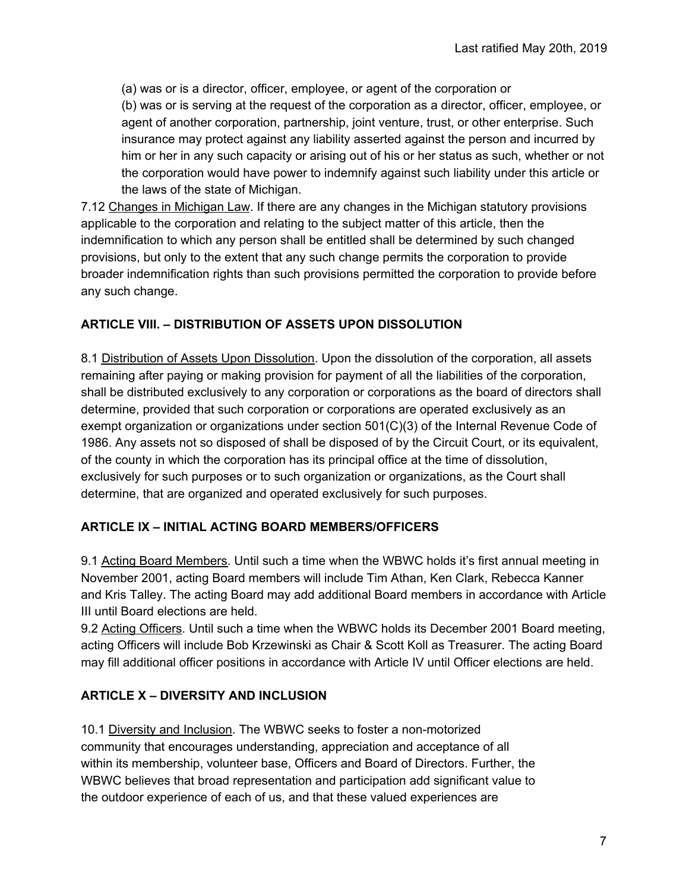(a) was or is a director, officer, employee, or agent of the corporation or (b) was or is serving at the request of the corporation as a director, officer, employee, or agent of another corporation, partnership, joint venture, trust, or other enterprise. Such insurance may protect against any liability asserted against the person and incurred by him or her in any such capacity or arising out of his or her status as such, whether or not the corporation would have power to indemnify against such liability under this article or the laws of the state of Michigan.

7.12 Changes in Michigan Law. If there are any changes in the Michigan statutory provisions applicable to the corporation and relating to the subject matter of this article, then the indemnification to which any person shall be entitled shall be determined by such changed provisions, but only to the extent that any such change permits the corporation to provide broader indemnification rights than such provisions permitted the corporation to provide before any such change.

### **ARTICLE VIII. – DISTRIBUTION OF ASSETS UPON DISSOLUTION**

8.1 Distribution of Assets Upon Dissolution. Upon the dissolution of the corporation, all assets remaining after paying or making provision for payment of all the liabilities of the corporation, shall be distributed exclusively to any corporation or corporations as the board of directors shall determine, provided that such corporation or corporations are operated exclusively as an exempt organization or organizations under section 501(C)(3) of the Internal Revenue Code of 1986. Any assets not so disposed of shall be disposed of by the Circuit Court, or its equivalent, of the county in which the corporation has its principal office at the time of dissolution, exclusively for such purposes or to such organization or organizations, as the Court shall determine, that are organized and operated exclusively for such purposes.

### **ARTICLE IX – INITIAL ACTING BOARD MEMBERS/OFFICERS**

9.1 Acting Board Members. Until such a time when the WBWC holds it's first annual meeting in November 2001, acting Board members will include Tim Athan, Ken Clark, Rebecca Kanner and Kris Talley. The acting Board may add additional Board members in accordance with Article III until Board elections are held.

9.2 Acting Officers. Until such a time when the WBWC holds its December 2001 Board meeting, acting Officers will include Bob Krzewinski as Chair & Scott Koll as Treasurer. The acting Board may fill additional officer positions in accordance with Article IV until Officer elections are held.

# **ARTICLE X – DIVERSITY AND INCLUSION**

10.1 Diversity and Inclusion. The WBWC seeks to foster a non-motorized community that encourages understanding, appreciation and acceptance of all within its membership, volunteer base, Officers and Board of Directors. Further, the WBWC believes that broad representation and participation add significant value to the outdoor experience of each of us, and that these valued experiences are